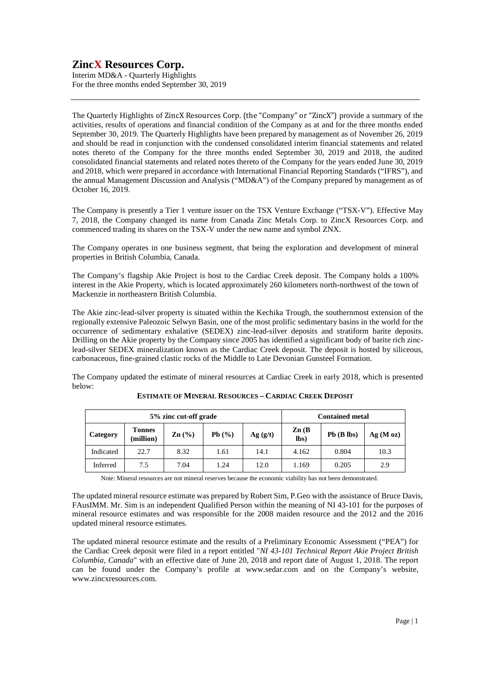Interim MD&A - Quarterly Highlights For the three months ended September 30, 2019

The Quarterly Highlights of ZincX Resources Corp. (the "Company" or "ZincX") provide a summary of the activities, results of operations and financial condition of the Company as at and for the three months ended September 30, 2019. The Quarterly Highlights have been prepared by management as of November 26, 2019 and should be read in conjunction with the condensed consolidated interim financial statements and related notes thereto of the Company for the three months ended September 30, 2019 and 2018, the audited consolidated financial statements and related notes thereto of the Company for the years ended June 30, 2019 and 2018, which were prepared in accordance with International Financial Reporting Standards ("IFRS"), and the annual Management Discussion and Analysis ("MD&A") of the Company prepared by management as of October 16, 2019.

The Company is presently a Tier 1 venture issuer on the TSX Venture Exchange ("TSX-V"). Effective May 7, 2018, the Company changed its name from Canada Zinc Metals Corp. to ZincX Resources Corp. and commenced trading its shares on the TSX-V under the new name and symbol ZNX.

The Company operates in one business segment, that being the exploration and development of mineral properties in British Columbia, Canada.

The Company's flagship Akie Project is host to the Cardiac Creek deposit. The Company holds a 100% interest in the Akie Property, which is located approximately 260 kilometers north-northwest of the town of Mackenzie in northeastern British Columbia.

The Akie zinc-lead-silver property is situated within the Kechika Trough, the southernmost extension of the regionally extensive Paleozoic Selwyn Basin, one of the most prolific sedimentary basins in the world for the occurrence of sedimentary exhalative (SEDEX) zinc-lead-silver deposits and stratiform barite deposits. Drilling on the Akie property by the Company since 2005 has identified a significant body of barite rich zinclead-silver SEDEX mineralization known as the Cardiac Creek deposit. The deposit is hosted by siliceous, carbonaceous, fine-grained clastic rocks of the Middle to Late Devonian Gunsteel Formation.

The Company updated the estimate of mineral resources at Cardiac Creek in early 2018, which is presented below:

| 5% zinc cut-off grade |                            |                 |       |          | <b>Contained metal</b>    |                 |         |
|-----------------------|----------------------------|-----------------|-------|----------|---------------------------|-----------------|---------|
| Category              | <b>Tonnes</b><br>(million) | $\text{Zn}$ (%) | Pb(%) | Ag( g/t) | $\mathbf{Zn}$ (B)<br>lbs) | $Pb$ ( $B$ lbs) | Ag(Moz) |
| Indicated             | 22.7                       | 8.32            | 1.61  | 14.1     | 4.162                     | 0.804           | 10.3    |
| Inferred              | 7.5                        | 7.04            | 1.24  | 12.0     | 1.169                     | 0.205           | 2.9     |

### **ESTIMATE OF MINERAL RESOURCES – CARDIAC CREEK DEPOSIT**

Note: Mineral resources are not mineral reserves because the economic viability has not been demonstrated.

The updated mineral resource estimate was prepared by Robert Sim, P.Geo with the assistance of Bruce Davis, FAusIMM. Mr. Sim is an independent Qualified Person within the meaning of NI 43-101 for the purposes of mineral resource estimates and was responsible for the 2008 maiden resource and the 2012 and the 2016 updated mineral resource estimates.

The updated mineral resource estimate and the results of a Preliminary Economic Assessment ("PEA") for the Cardiac Creek deposit were filed in a report entitled "*NI 43-101 Technical Report Akie Project British Columbia, Canada*" with an effective date of June 20, 2018 and report date of August 1, 2018. The report can be found under the Company's profile at www.sedar.com and on the Company's website, www.zincxresources.com.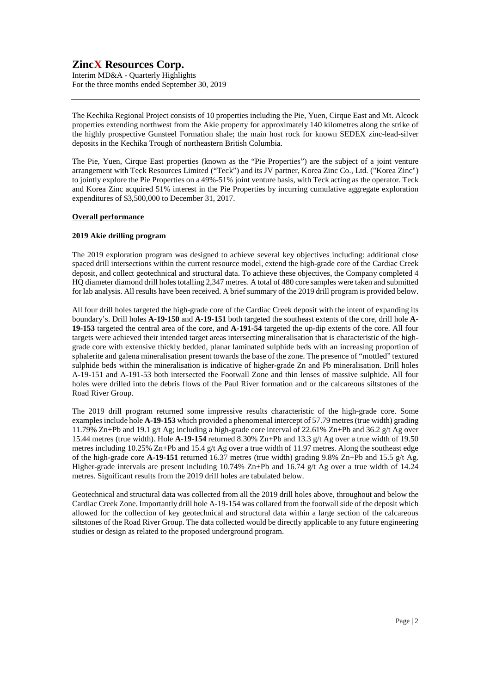Interim MD&A - Quarterly Highlights For the three months ended September 30, 2019

The Kechika Regional Project consists of 10 properties including the Pie, Yuen, Cirque East and Mt. Alcock properties extending northwest from the Akie property for approximately 140 kilometres along the strike of the highly prospective Gunsteel Formation shale; the main host rock for known SEDEX zinc-lead-silver deposits in the Kechika Trough of northeastern British Columbia.

The Pie, Yuen, Cirque East properties (known as the "Pie Properties") are the subject of a joint venture arrangement with Teck Resources Limited ("Teck") and its JV partner, Korea Zinc Co., Ltd. ("Korea Zinc") to jointly explore the Pie Properties on a 49%-51% joint venture basis, with Teck acting as the operator. Teck and Korea Zinc acquired 51% interest in the Pie Properties by incurring cumulative aggregate exploration expenditures of \$3,500,000 to December 31, 2017.

### **Overall performance**

### **2019 Akie drilling program**

The 2019 exploration program was designed to achieve several key objectives including: additional close spaced drill intersections within the current resource model, extend the high-grade core of the Cardiac Creek deposit, and collect geotechnical and structural data. To achieve these objectives, the Company completed 4 HQ diameter diamond drill holes totalling 2,347 metres. A total of 480 core samples were taken and submitted for lab analysis. All results have been received. A brief summary of the 2019 drill program is provided below.

All four drill holes targeted the high-grade core of the Cardiac Creek deposit with the intent of expanding its boundary's. Drill holes **A-19-150** and **A-19-151** both targeted the southeast extents of the core, drill hole **A-19-153** targeted the central area of the core, and **A-191-54** targeted the up-dip extents of the core. All four targets were achieved their intended target areas intersecting mineralisation that is characteristic of the highgrade core with extensive thickly bedded, planar laminated sulphide beds with an increasing proportion of sphalerite and galena mineralisation present towards the base of the zone. The presence of "mottled" textured sulphide beds within the mineralisation is indicative of higher-grade Zn and Pb mineralisation. Drill holes A-19-151 and A-191-53 both intersected the Footwall Zone and thin lenses of massive sulphide. All four holes were drilled into the debris flows of the Paul River formation and or the calcareous siltstones of the Road River Group.

The 2019 drill program returned some impressive results characteristic of the high-grade core. Some examples include hole **A-19-153** which provided a phenomenal intercept of 57.79 metres (true width) grading 11.79% Zn+Pb and 19.1 g/t Ag; including a high-grade core interval of 22.61% Zn+Pb and 36.2 g/t Ag over 15.44 metres (true width). Hole **A-19-154** returned 8.30% Zn+Pb and 13.3 g/t Ag over a true width of 19.50 metres including 10.25% Zn+Pb and 15.4 g/t Ag over a true width of 11.97 metres. Along the southeast edge of the high-grade core  $\mathbf{A}\text{-}19\text{-}151$  returned 16.37 metres (true width) grading 9.8% Zn+Pb and 15.5 g/t Ag. Higher-grade intervals are present including 10.74% Zn+Pb and 16.74 g/t Ag over a true width of 14.24 metres. Significant results from the 2019 drill holes are tabulated below.

Geotechnical and structural data was collected from all the 2019 drill holes above, throughout and below the Cardiac Creek Zone. Importantly drill hole A-19-154 was collared from the footwall side of the deposit which allowed for the collection of key geotechnical and structural data within a large section of the calcareous siltstones of the Road River Group. The data collected would be directly applicable to any future engineering studies or design as related to the proposed underground program.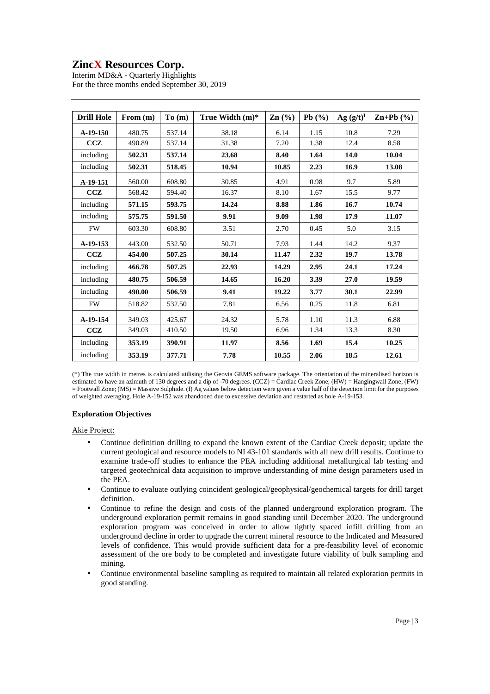Interim MD&A - Quarterly Highlights For the three months ended September 30, 2019

| <b>Drill Hole</b> | From $(m)$ | To(m)  | True Width $(m)^*$ | $\text{Zn}$ $\left(\frac{0}{0}\right)$ | Pb $(%$ | $Ag (g/t)^{H}$ | $\mathbf{Zn+Pb}$ (%) |
|-------------------|------------|--------|--------------------|----------------------------------------|---------|----------------|----------------------|
| $A-19-150$        | 480.75     | 537.14 | 38.18              | 6.14                                   | 1.15    | 10.8           | 7.29                 |
| CCZ               | 490.89     | 537.14 | 31.38              | 7.20                                   | 1.38    | 12.4           | 8.58                 |
| including         | 502.31     | 537.14 | 23.68              | 8.40                                   | 1.64    | 14.0           | 10.04                |
| including         | 502.31     | 518.45 | 10.94              | 10.85                                  | 2.23    | 16.9           | 13.08                |
| A-19-151          | 560.00     | 608.80 | 30.85              | 4.91                                   | 0.98    | 9.7            | 5.89                 |
| ccz               | 568.42     | 594.40 | 16.37              | 8.10                                   | 1.67    | 15.5           | 9.77                 |
| including         | 571.15     | 593.75 | 14.24              | 8.88                                   | 1.86    | 16.7           | 10.74                |
| including         | 575.75     | 591.50 | 9.91               | 9.09                                   | 1.98    | 17.9           | 11.07                |
| <b>FW</b>         | 603.30     | 608.80 | 3.51               | 2.70                                   | 0.45    | 5.0            | 3.15                 |
| A-19-153          | 443.00     | 532.50 | 50.71              | 7.93                                   | 1.44    | 14.2           | 9.37                 |
| CCZ               | 454.00     | 507.25 | 30.14              | 11.47                                  | 2.32    | 19.7           | 13.78                |
| including         | 466.78     | 507.25 | 22.93              | 14.29                                  | 2.95    | 24.1           | 17.24                |
| including         | 480.75     | 506.59 | 14.65              | 16.20                                  | 3.39    | 27.0           | 19.59                |
| including         | 490.00     | 506.59 | 9.41               | 19.22                                  | 3.77    | 30.1           | 22.99                |
| <b>FW</b>         | 518.82     | 532.50 | 7.81               | 6.56                                   | 0.25    | 11.8           | 6.81                 |
| A-19-154          | 349.03     | 425.67 | 24.32              | 5.78                                   | 1.10    | 11.3           | 6.88                 |
| CCZ               | 349.03     | 410.50 | 19.50              | 6.96                                   | 1.34    | 13.3           | 8.30                 |
| including         | 353.19     | 390.91 | 11.97              | 8.56                                   | 1.69    | 15.4           | 10.25                |
| including         | 353.19     | 377.71 | 7.78               | 10.55                                  | 2.06    | 18.5           | 12.61                |

(\*) The true width in metres is calculated utilising the Geovia GEMS software package. The orientation of the mineralised horizon is estimated to have an azimuth of 130 degrees and a dip of -70 degrees. (CCZ) = Cardiac Creek Zone; (HW) = Hangingwall Zone; (FW)  $=$  Footwall Zone; (MS)  $=$  Massive Sulphide. ( $\ddot{\text{I}}$ ) Ag values below detection were given a value half of the detection limit for the purposes of weighted averaging. Hole A-19-152 was abandoned due to excessive deviation and restarted as hole A-19-153.

### **Exploration Objectives**

Akie Project:

- Continue definition drilling to expand the known extent of the Cardiac Creek deposit; update the current geological and resource models to NI 43-101 standards with all new drill results. Continue to examine trade-off studies to enhance the PEA including additional metallurgical lab testing and targeted geotechnical data acquisition to improve understanding of mine design parameters used in the PEA.
- Continue to evaluate outlying coincident geological/geophysical/geochemical targets for drill target definition.
- Continue to refine the design and costs of the planned underground exploration program. The underground exploration permit remains in good standing until December 2020. The underground exploration program was conceived in order to allow tightly spaced infill drilling from an underground decline in order to upgrade the current mineral resource to the Indicated and Measured levels of confidence. This would provide sufficient data for a pre-feasibility level of economic assessment of the ore body to be completed and investigate future viability of bulk sampling and mining.
- Continue environmental baseline sampling as required to maintain all related exploration permits in good standing.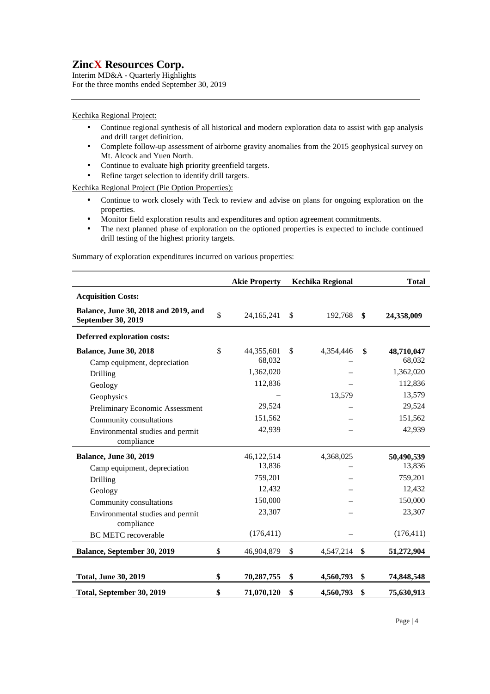Interim MD&A - Quarterly Highlights For the three months ended September 30, 2019

### Kechika Regional Project:

- Continue regional synthesis of all historical and modern exploration data to assist with gap analysis and drill target definition.
- Complete follow-up assessment of airborne gravity anomalies from the 2015 geophysical survey on Mt. Alcock and Yuen North.
- Continue to evaluate high priority greenfield targets.
- Refine target selection to identify drill targets.

Kechika Regional Project (Pie Option Properties):

- Continue to work closely with Teck to review and advise on plans for ongoing exploration on the properties.
- Monitor field exploration results and expenditures and option agreement commitments.
- The next planned phase of exploration on the optioned properties is expected to include continued drill testing of the highest priority targets.

Summary of exploration expenditures incurred on various properties:

|                                                                                                                                                                                                 | <b>Akie Property</b>                                                         | <b>Kechika Regional</b>   | <b>Total</b>                                                                 |
|-------------------------------------------------------------------------------------------------------------------------------------------------------------------------------------------------|------------------------------------------------------------------------------|---------------------------|------------------------------------------------------------------------------|
| <b>Acquisition Costs:</b>                                                                                                                                                                       |                                                                              |                           |                                                                              |
| Balance, June 30, 2018 and 2019, and<br>September 30, 2019                                                                                                                                      | \$<br>24,165,241                                                             | \$<br>192,768             | \$<br>24,358,009                                                             |
| <b>Deferred exploration costs:</b>                                                                                                                                                              |                                                                              |                           |                                                                              |
| <b>Balance, June 30, 2018</b><br>Camp equipment, depreciation<br>Drilling<br>Geology<br>Geophysics                                                                                              | \$<br>44,355,601<br>68,032<br>1,362,020<br>112,836<br>29,524                 | \$<br>4,354,446<br>13,579 | \$<br>48,710,047<br>68,032<br>1,362,020<br>112,836<br>13,579<br>29,524       |
| Preliminary Economic Assessment<br>Community consultations<br>Environmental studies and permit<br>compliance                                                                                    | 151,562<br>42,939                                                            |                           | 151,562<br>42,939                                                            |
| <b>Balance, June 30, 2019</b><br>Camp equipment, depreciation<br>Drilling<br>Geology<br>Community consultations<br>Environmental studies and permit<br>compliance<br><b>BC METC recoverable</b> | 46,122,514<br>13,836<br>759,201<br>12,432<br>150,000<br>23,307<br>(176, 411) | 4,368,025                 | 50,490,539<br>13,836<br>759,201<br>12,432<br>150,000<br>23,307<br>(176, 411) |
| Balance, September 30, 2019                                                                                                                                                                     | \$<br>46,904,879                                                             | \$<br>4,547,214           | \$<br>51,272,904                                                             |
| <b>Total, June 30, 2019</b>                                                                                                                                                                     | \$<br>70,287,755                                                             | \$<br>4,560,793           | \$<br>74,848,548                                                             |
| Total, September 30, 2019                                                                                                                                                                       | \$<br>71,070,120                                                             | \$<br>4,560,793           | \$<br>75,630,913                                                             |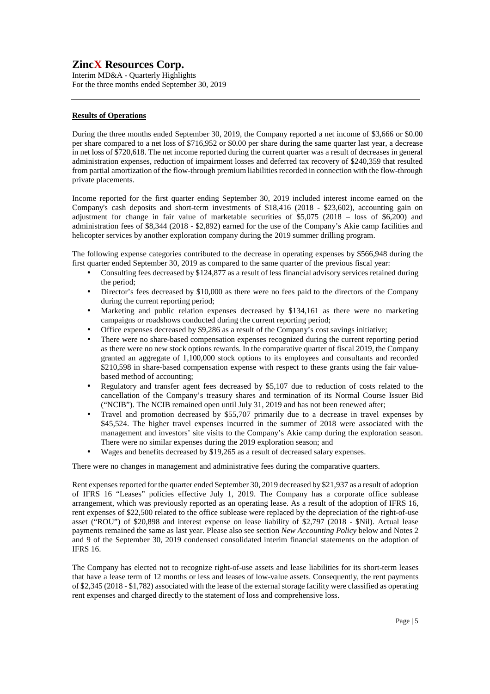Interim MD&A - Quarterly Highlights For the three months ended September 30, 2019

### **Results of Operations**

During the three months ended September 30, 2019, the Company reported a net income of \$3,666 or \$0.00 per share compared to a net loss of \$716,952 or \$0.00 per share during the same quarter last year, a decrease in net loss of \$720,618. The net income reported during the current quarter was a result of decreases in general administration expenses, reduction of impairment losses and deferred tax recovery of \$240,359 that resulted from partial amortization of the flow-through premium liabilities recorded in connection with the flow-through private placements.

Income reported for the first quarter ending September 30, 2019 included interest income earned on the Company's cash deposits and short-term investments of \$18,416 (2018 - \$23,602), accounting gain on adjustment for change in fair value of marketable securities of \$5,075 (2018 – loss of \$6,200) and administration fees of \$8,344 (2018 - \$2,892) earned for the use of the Company's Akie camp facilities and helicopter services by another exploration company during the 2019 summer drilling program.

The following expense categories contributed to the decrease in operating expenses by \$566,948 during the first quarter ended September 30, 2019 as compared to the same quarter of the previous fiscal year:

- Consulting fees decreased by \$124,877 as a result of less financial advisory services retained during the period;
- Director's fees decreased by \$10,000 as there were no fees paid to the directors of the Company during the current reporting period;
- Marketing and public relation expenses decreased by \$134,161 as there were no marketing campaigns or roadshows conducted during the current reporting period;
- Office expenses decreased by \$9,286 as a result of the Company's cost savings initiative;
- There were no share-based compensation expenses recognized during the current reporting period as there were no new stock options rewards. In the comparative quarter of fiscal 2019, the Company granted an aggregate of 1,100,000 stock options to its employees and consultants and recorded \$210,598 in share-based compensation expense with respect to these grants using the fair valuebased method of accounting;
- Regulatory and transfer agent fees decreased by \$5,107 due to reduction of costs related to the cancellation of the Company's treasury shares and termination of its Normal Course Issuer Bid ("NCIB"). The NCIB remained open until July 31, 2019 and has not been renewed after;
- Travel and promotion decreased by \$55,707 primarily due to a decrease in travel expenses by \$45,524. The higher travel expenses incurred in the summer of 2018 were associated with the management and investors' site visits to the Company's Akie camp during the exploration season. There were no similar expenses during the 2019 exploration season; and
- Wages and benefits decreased by \$19,265 as a result of decreased salary expenses.

There were no changes in management and administrative fees during the comparative quarters.

Rent expenses reported for the quarter ended September 30, 2019 decreased by \$21,937 as a result of adoption of IFRS 16 "Leases" policies effective July 1, 2019. The Company has a corporate office sublease arrangement, which was previously reported as an operating lease. As a result of the adoption of IFRS 16, rent expenses of \$22,500 related to the office sublease were replaced by the depreciation of the right-of-use asset ("ROU") of \$20,898 and interest expense on lease liability of \$2,797 (2018 - \$Nil). Actual lease payments remained the same as last year. Please also see section *New Accounting Policy* below and Notes 2 and 9 of the September 30, 2019 condensed consolidated interim financial statements on the adoption of IFRS 16.

The Company has elected not to recognize right-of-use assets and lease liabilities for its short-term leases that have a lease term of 12 months or less and leases of low-value assets. Consequently, the rent payments of \$2,345 (2018 - \$1,782) associated with the lease of the external storage facility were classified as operating rent expenses and charged directly to the statement of loss and comprehensive loss.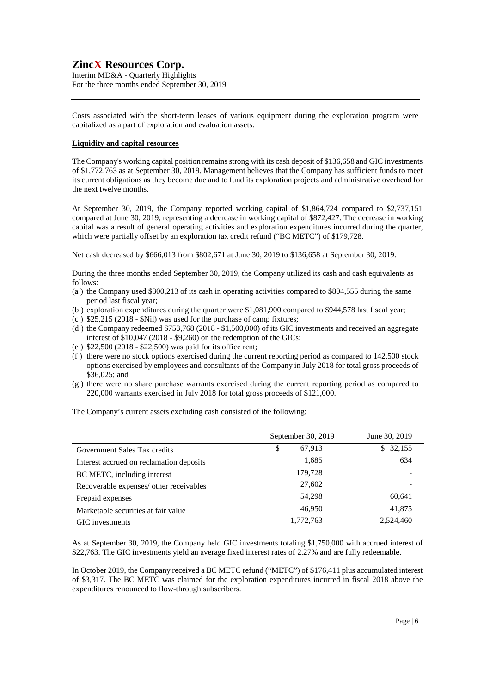Interim MD&A - Quarterly Highlights For the three months ended September 30, 2019

Costs associated with the short-term leases of various equipment during the exploration program were capitalized as a part of exploration and evaluation assets.

### **Liquidity and capital resources**

The Company's working capital position remains strong with its cash deposit of \$136,658 and GIC investments of \$1,772,763 as at September 30, 2019. Management believes that the Company has sufficient funds to meet its current obligations as they become due and to fund its exploration projects and administrative overhead for the next twelve months.

At September 30, 2019, the Company reported working capital of \$1,864,724 compared to \$2,737,151 compared at June 30, 2019, representing a decrease in working capital of \$872,427. The decrease in working capital was a result of general operating activities and exploration expenditures incurred during the quarter, which were partially offset by an exploration tax credit refund ("BC METC") of \$179,728.

Net cash decreased by \$666,013 from \$802,671 at June 30, 2019 to \$136,658 at September 30, 2019.

During the three months ended September 30, 2019, the Company utilized its cash and cash equivalents as follows:

- (a ) the Company used \$300,213 of its cash in operating activities compared to \$804,555 during the same period last fiscal year;
- (b ) exploration expenditures during the quarter were \$1,081,900 compared to \$944,578 last fiscal year;
- (c)  $$25,215$  (2018  $$Nil)$  was used for the purchase of camp fixtures;
- (d ) the Company redeemed \$753,768 (2018 \$1,500,000) of its GIC investments and received an aggregate interest of \$10,047 (2018 - \$9,260) on the redemption of the GICs;
- (e ) \$22,500 (2018 \$22,500) was paid for its office rent;
- (f ) there were no stock options exercised during the current reporting period as compared to 142,500 stock options exercised by employees and consultants of the Company in July 2018 for total gross proceeds of \$36,025; and
- (g ) there were no share purchase warrants exercised during the current reporting period as compared to 220,000 warrants exercised in July 2018 for total gross proceeds of \$121,000.

The Company's current assets excluding cash consisted of the following:

|                                          | September 30, 2019 | June 30, 2019 |
|------------------------------------------|--------------------|---------------|
| Government Sales Tax credits             | 67,913<br>\$       | 32,155<br>S.  |
| Interest accrued on reclamation deposits | 1,685              | 634           |
| BC METC, including interest              | 179,728            |               |
| Recoverable expenses/ other receivables  | 27,602             |               |
| Prepaid expenses                         | 54,298             | 60,641        |
| Marketable securities at fair value      | 46,950             | 41,875        |
| GIC investments                          | 1,772,763          | 2,524,460     |

As at September 30, 2019, the Company held GIC investments totaling \$1,750,000 with accrued interest of \$22,763. The GIC investments yield an average fixed interest rates of 2.27% and are fully redeemable.

In October 2019, the Company received a BC METC refund ("METC") of \$176,411 plus accumulated interest of \$3,317. The BC METC was claimed for the exploration expenditures incurred in fiscal 2018 above the expenditures renounced to flow-through subscribers.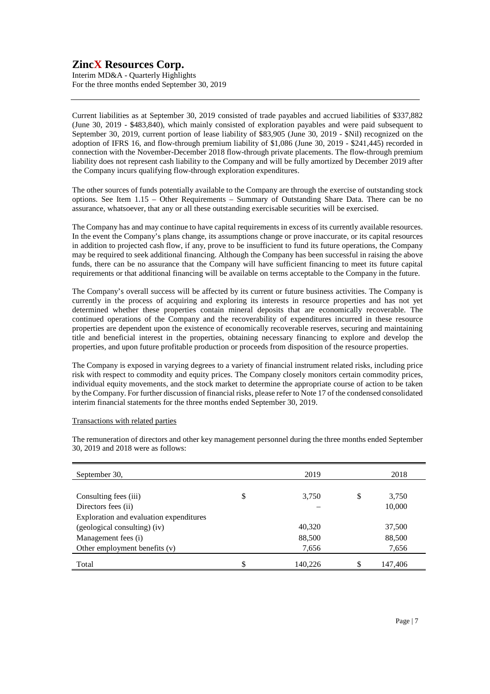Interim MD&A - Quarterly Highlights For the three months ended September 30, 2019

Current liabilities as at September 30, 2019 consisted of trade payables and accrued liabilities of \$337,882 (June 30, 2019 - \$483,840), which mainly consisted of exploration payables and were paid subsequent to September 30, 2019, current portion of lease liability of \$83,905 (June 30, 2019 - \$Nil) recognized on the adoption of IFRS 16, and flow-through premium liability of \$1,086 (June 30, 2019 - \$241,445) recorded in connection with the November-December 2018 flow-through private placements. The flow-through premium liability does not represent cash liability to the Company and will be fully amortized by December 2019 after the Company incurs qualifying flow-through exploration expenditures.

The other sources of funds potentially available to the Company are through the exercise of outstanding stock options. See Item 1.15 – Other Requirements – Summary of Outstanding Share Data. There can be no assurance, whatsoever, that any or all these outstanding exercisable securities will be exercised.

The Company has and may continue to have capital requirements in excess of its currently available resources. In the event the Company's plans change, its assumptions change or prove inaccurate, or its capital resources in addition to projected cash flow, if any, prove to be insufficient to fund its future operations, the Company may be required to seek additional financing. Although the Company has been successful in raising the above funds, there can be no assurance that the Company will have sufficient financing to meet its future capital requirements or that additional financing will be available on terms acceptable to the Company in the future.

The Company's overall success will be affected by its current or future business activities. The Company is currently in the process of acquiring and exploring its interests in resource properties and has not yet determined whether these properties contain mineral deposits that are economically recoverable. The continued operations of the Company and the recoverability of expenditures incurred in these resource properties are dependent upon the existence of economically recoverable reserves, securing and maintaining title and beneficial interest in the properties, obtaining necessary financing to explore and develop the properties, and upon future profitable production or proceeds from disposition of the resource properties.

The Company is exposed in varying degrees to a variety of financial instrument related risks, including price risk with respect to commodity and equity prices. The Company closely monitors certain commodity prices, individual equity movements, and the stock market to determine the appropriate course of action to be taken by the Company. For further discussion of financial risks, please refer to Note 17 of the condensed consolidated interim financial statements for the three months ended September 30, 2019.

### Transactions with related parties

The remuneration of directors and other key management personnel during the three months ended September 30, 2019 and 2018 were as follows:

| September 30,                           | 2019          | 2018        |
|-----------------------------------------|---------------|-------------|
|                                         |               |             |
| Consulting fees (iii)                   | \$<br>3,750   | \$<br>3,750 |
| Directors fees (ii)                     |               | 10,000      |
| Exploration and evaluation expenditures |               |             |
| (geological consulting) (iv)            | 40,320        | 37,500      |
| Management fees (i)                     | 88,500        | 88,500      |
| Other employment benefits $(v)$         | 7,656         | 7,656       |
| Total                                   | \$<br>140,226 | 147,406     |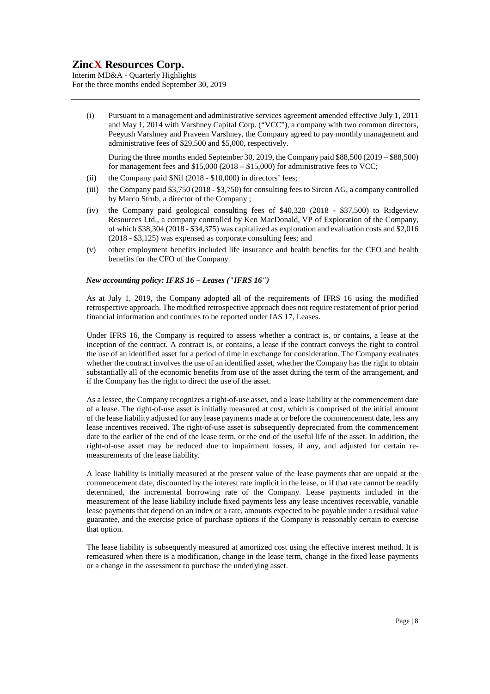Interim MD&A - Quarterly Highlights For the three months ended September 30, 2019

(i) Pursuant to a management and administrative services agreement amended effective July 1, 2011 and May 1, 2014 with Varshney Capital Corp. ("VCC"), a company with two common directors, Peeyush Varshney and Praveen Varshney, the Company agreed to pay monthly management and administrative fees of \$29,500 and \$5,000, respectively.

During the three months ended September 30, 2019, the Company paid \$88,500 (2019 – \$88,500) for management fees and  $$15,000 (2018 - $15,000)$  for administrative fees to VCC;

- (ii) the Company paid \$Nil (2018 \$10,000) in directors' fees;
- (iii) the Company paid \$3,750 (2018 \$3,750) for consulting fees to Sircon AG, a company controlled by Marco Strub, a director of the Company ;
- (iv) the Company paid geological consulting fees of \$40,320 (2018 \$37,500) to Ridgeview Resources Ltd., a company controlled by Ken MacDonald, VP of Exploration of the Company, of which \$38,304 (2018 - \$34,375) was capitalized as exploration and evaluation costs and \$2,016 (2018 - \$3,125) was expensed as corporate consulting fees; and
- (v) other employment benefits included life insurance and health benefits for the CEO and health benefits for the CFO of the Company.

### *New accounting policy: IFRS 16 – Leases ("IFRS 16")*

As at July 1, 2019, the Company adopted all of the requirements of IFRS 16 using the modified retrospective approach. The modified retrospective approach does not require restatement of prior period financial information and continues to be reported under IAS 17, Leases.

Under IFRS 16, the Company is required to assess whether a contract is, or contains, a lease at the inception of the contract. A contract is, or contains, a lease if the contract conveys the right to control the use of an identified asset for a period of time in exchange for consideration. The Company evaluates whether the contract involves the use of an identified asset, whether the Company has the right to obtain substantially all of the economic benefits from use of the asset during the term of the arrangement, and if the Company has the right to direct the use of the asset.

As a lessee, the Company recognizes a right-of-use asset, and a lease liability at the commencement date of a lease. The right-of-use asset is initially measured at cost, which is comprised of the initial amount of the lease liability adjusted for any lease payments made at or before the commencement date, less any lease incentives received. The right-of-use asset is subsequently depreciated from the commencement date to the earlier of the end of the lease term, or the end of the useful life of the asset. In addition, the right-of-use asset may be reduced due to impairment losses, if any, and adjusted for certain remeasurements of the lease liability.

A lease liability is initially measured at the present value of the lease payments that are unpaid at the commencement date, discounted by the interest rate implicit in the lease, or if that rate cannot be readily determined, the incremental borrowing rate of the Company. Lease payments included in the measurement of the lease liability include fixed payments less any lease incentives receivable, variable lease payments that depend on an index or a rate, amounts expected to be payable under a residual value guarantee, and the exercise price of purchase options if the Company is reasonably certain to exercise that option.

The lease liability is subsequently measured at amortized cost using the effective interest method. It is remeasured when there is a modification, change in the lease term, change in the fixed lease payments or a change in the assessment to purchase the underlying asset.